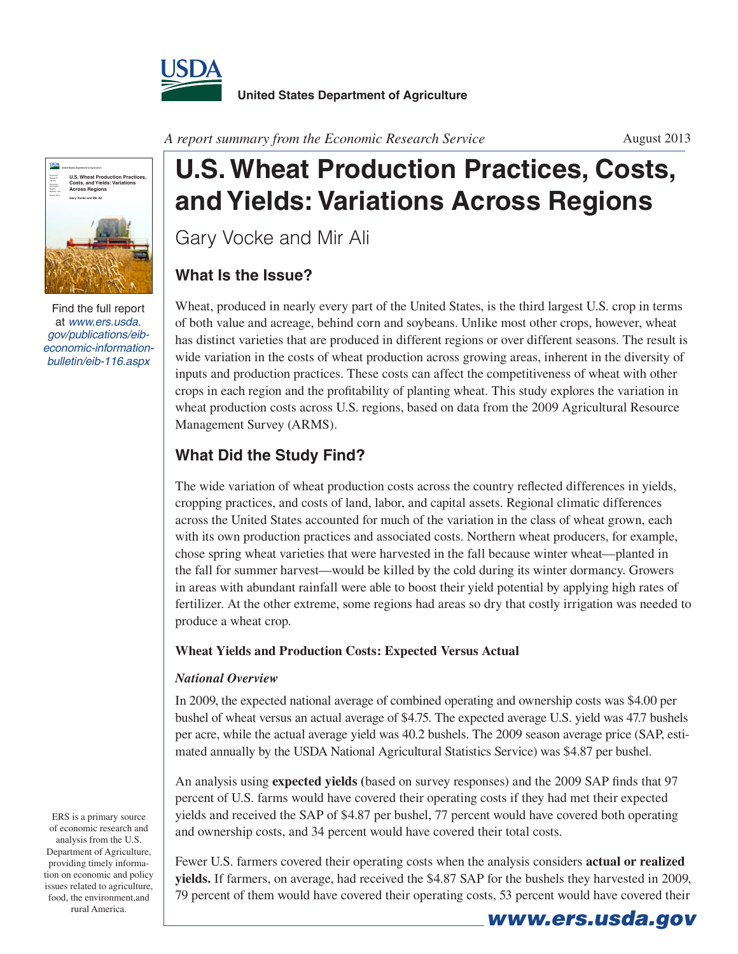

**United States Department of Agriculture**



Find the full report at *www.ers.usda. gov/publications/eib[economic-information](http://www.ers.usda.gov/publications/eib-economic-information-bulletin/eib-116.aspx)bulletin/eib-116.aspx*

# **U.S. Wheat Production Practices, Costs, and Yields: Variations Across Regions**

Gary Vocke and Mir Ali

## **What Is the Issue?**

Wheat, produced in nearly every part of the United States, is the third largest U.S. crop in terms of both value and acreage, behind corn and soybeans. Unlike most other crops, however, wheat has distinct varieties that are produced in different regions or over different seasons. The result is wide variation in the costs of wheat production across growing areas, inherent in the diversity of inputs and production practices. These costs can affect the competitiveness of wheat with other crops in each region and the profitability of planting wheat. This study explores the variation in wheat production costs across U.S. regions, based on data from the 2009 Agricultural Resource Management Survey (ARMS).

## **What Did the Study Find?**

The wide variation of wheat production costs across the country reflected differences in yields, cropping practices, and costs of land, labor, and capital assets. Regional climatic differences across the United States accounted for much of the variation in the class of wheat grown, each with its own production practices and associated costs. Northern wheat producers, for example, chose spring wheat varieties that were harvested in the fall because winter wheat—planted in the fall for summer harvest—would be killed by the cold during its winter dormancy. Growers in areas with abundant rainfall were able to boost their yield potential by applying high rates of fertilizer. At the other extreme, some regions had areas so dry that costly irrigation was needed to produce a wheat crop.

#### **Wheat Yields and Production Costs: Expected Versus Actual**

### *National Overview*

In 2009, the expected national average of combined operating and ownership costs was \$4.00 per bushel of wheat versus an actual average of \$4.75. The expected average U.S. yield was 47.7 bushels per acre, while the actual average yield was 40.2 bushels. The 2009 season average price (SAP, estimated annually by the USDA National Agricultural Statistics Service) was \$4.87 per bushel.

An analysis using **expected yields (**based on survey responses) and the 2009 SAP finds that 97 percent of U.S. farms would have covered their operating costs if they had met their expected yields and received the SAP of \$4.87 per bushel, 77 percent would have covered both operating and ownership costs, and 34 percent would have covered their total costs.

Fewer U.S. farmers covered their operating costs when the analysis considers **actual or realized yields.** If farmers, on average, had received the \$4.87 SAP for the bushels they harvested in 2009, 79 percent of them would have covered their operating costs, 53 percent would have covered their

ERS is a primary source of economic research and analysis from the U.S. Department of Agriculture, providing timely information on economic and policy issues related to agriculture, food, the environment,and rural America.